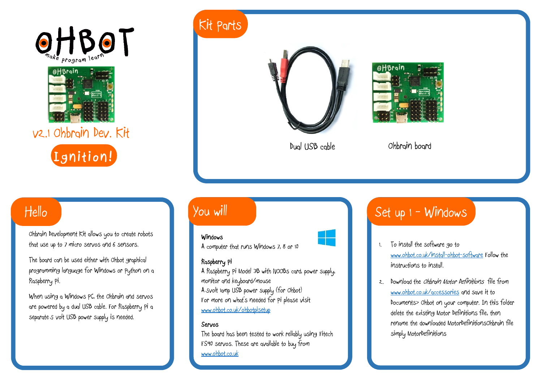



v2.1 Ohbrain Dev. Kit



## Hello

Ohbrain Development Kit allows you to create robots that use up to 7 micro servos and 6 sensors.

The board can be used either with Ohbot graphical programming language for Windows or Python on a Raspberry Pi.

When using a Windows PC, the Ohbrain and servos are powered by a dual USB cable. For Raspberry Pi a separate 5 volt USB power supply is needed.

# Kit Parts





Dual USB cable Ohbrain board

## You will

### **k**<br>**Windows**



A computer that runs Windows 7, 8 or 10

#### **Raspberry Pi**

A Raspberry Pi Model 3B with NOOBs card, power supply, monitor and keyboard/mouse A 5volt 1amp USB power supply (for Ohbot) For more on what's needed for Pi please visit [www.ohbot.co.uk/ohbotpisetup](http://www.ohbot.co.uk/ohbotpisetup)

#### **Servos**

The board has been tested to work reliably using Fitech FS90 servos. These are available to buy from [www.ohbot.co.uk](http://www.ohbot.co.uk/)

## Set up  $1 -$  Windows

- 1. To install the software go to [www.ohbot.co.uk/install-ohbot-software](http://www.ohbot.co.uk/install-ohbot-software) Follow the instructions to install.
- 2. Download the Ohbrain Motor Definitions file from [www.ohbot.co.uk/accessories](http://www.ohbot.co.uk/accessories) and save it to Documents> Ohbot on your computer. In this folder delete the existing Motor Definitions file, then rename the downloaded MotorDefinitionsOhbrain file simply MotorDefinitions